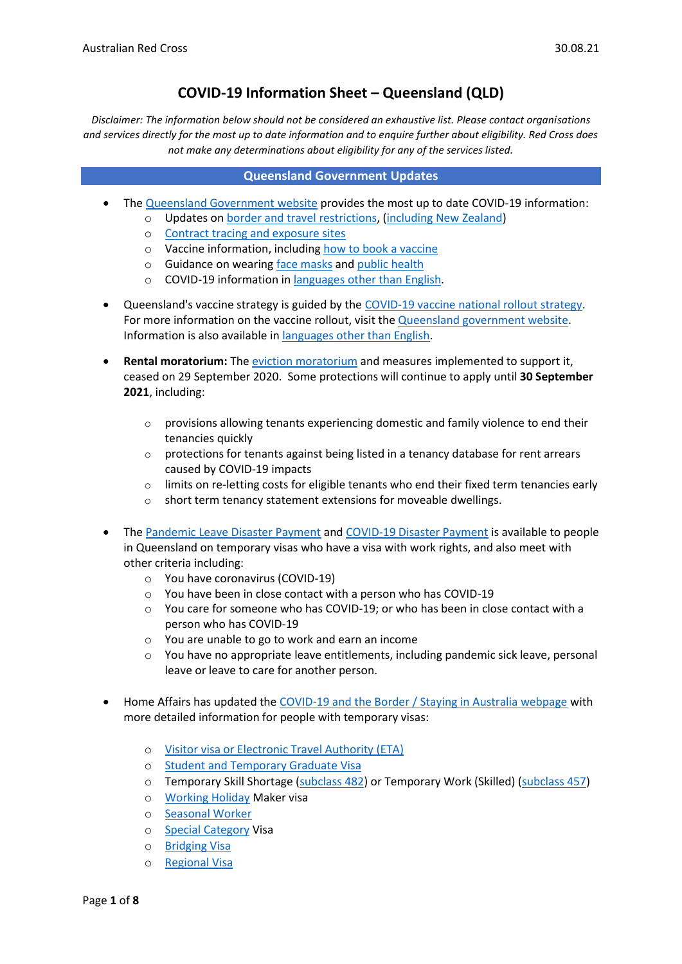# **COVID-19 Information Sheet – Queensland (QLD)**

*Disclaimer: The information below should not be considered an exhaustive list. Please contact organisations and services directly for the most up to date information and to enquire further about eligibility. Red Cross does not make any determinations about eligibility for any of the services listed.* 

#### **Queensland Government Updates**

- The [Queensland Government website](https://www.qld.gov.au/health/conditions/health-alerts/coronavirus-covid-19) provides the most up to date COVID-19 information:
	- o Updates on [border and travel restrictions,](https://www.qld.gov.au/border-pass) [\(including New Zealand\)](https://covid19.homeaffairs.gov.au/new-zealand-safe-travel-zone)
		- o [Contract tracing and exposure sites](https://www.qld.gov.au/health/conditions/health-alerts/coronavirus-covid-19/current-status/contact-tracing)
		- o Vaccine information, including [how to book a vaccine](https://www.qld.gov.au/health/conditions/health-alerts/coronavirus-covid-19/protect-yourself-others/covid-19-vaccine/book)
		- o Guidance on wearing [face masks](https://www.qld.gov.au/health/conditions/health-alerts/coronavirus-covid-19/protect-yourself-others/face-masks) and [public health](https://www.qld.gov.au/health/conditions/health-alerts/coronavirus-covid-19/protect-yourself-others/coronavirus-prevention)
		- o COVID-19 information in [languages other than English.](https://www.qld.gov.au/health/conditions/health-alerts/coronavirus-covid-19/support-and-resources/translated-resources)
- Queensland's vaccine strategy is guided by the [COVID-19 vaccine national rollout](https://www.health.gov.au/resources/publications/australias-covid-19-vaccine-national-roll-out-strategy) strategy. For more information on the vaccine rollout, visit th[e Queensland government website.](https://www.qld.gov.au/health/conditions/health-alerts/coronavirus-covid-19/protect-yourself-others/covid-19-vaccine/rollout) Information is also available i[n languages other than English.](https://www.health.gov.au/initiatives-and-programs/covid-19-vaccines/covid-19-vaccine-information-in-your-language)
- **Rental moratorium:** The [eviction moratorium](https://www.covid19.qld.gov.au/the-hub/covid-19-tenancy-update) and measures implemented to support it, ceased on 29 September 2020. Some protections will continue to apply until **30 September 2021**, including:
	- $\circ$  provisions allowing tenants experiencing domestic and family violence to end their tenancies quickly
	- $\circ$  protections for tenants against being listed in a tenancy database for rent arrears caused by COVID-19 impacts
	- $\circ$  limits on re-letting costs for eligible tenants who end their fixed term tenancies early
	- o short term tenancy statement extensions for moveable dwellings.
- The [Pandemic Leave Disaster Payment](https://www.servicesaustralia.gov.au/individuals/services/centrelink/pandemic-leave-disaster-payment-queensland/who-can-get-it) and [COVID-19 Disaster Payment](https://www.servicesaustralia.gov.au/individuals/services/centrelink/covid-19-disaster-payment) is available to people in Queensland on temporary visas who have a visa with work rights, and also meet with other criteria including:
	- o You have coronavirus (COVID-19)
	- o You have been in close contact with a person who has COVID-19
	- $\circ$  You care for someone who has COVID-19; or who has been in close contact with a person who has COVID-19
	- o You are unable to go to work and earn an income
	- o You have no appropriate leave entitlements, including pandemic sick leave, personal leave or leave to care for another person.
- Home Affairs has updated the [COVID-19 and the Border / Staying in Australia webpage](https://covid19.homeaffairs.gov.au/staying-australia#13) with more detailed information for people with temporary visas:
	- o [Visitor visa or Electronic Travel Authority \(ETA\)](https://covid19.homeaffairs.gov.au/visitor-visa-or-electronic-travel-authority-eta)
	- o [Student and Temporary Graduate Visa](https://covid19.homeaffairs.gov.au/student-and-temporary-graduate-visas)
	- o Temporary Skill Shortage [\(subclass 482\)](https://covid19.homeaffairs.gov.au/temporary-skill-shortage-visa-subclass-482-or-temporary-work-skilled-visa-subclass-457) or Temporary Work (Skilled) [\(subclass 457\)](https://covid19.homeaffairs.gov.au/temporary-skill-shortage-visa-subclass-482-or-temporary-work-skilled-visa-subclass-457)
	- o [Working Holiday](https://covid19.homeaffairs.gov.au/working-holiday-maker-visa) Maker visa
	- o [Seasonal Worker](https://covid19.homeaffairs.gov.au/seasonal-worker)
	- o [Special Category](https://covid19.homeaffairs.gov.au/special-category-visa) Visa
	- o [Bridging Visa](https://covid19.homeaffairs.gov.au/bridging-visa)
	- o [Regional Visa](https://covid19.homeaffairs.gov.au/regional-visa)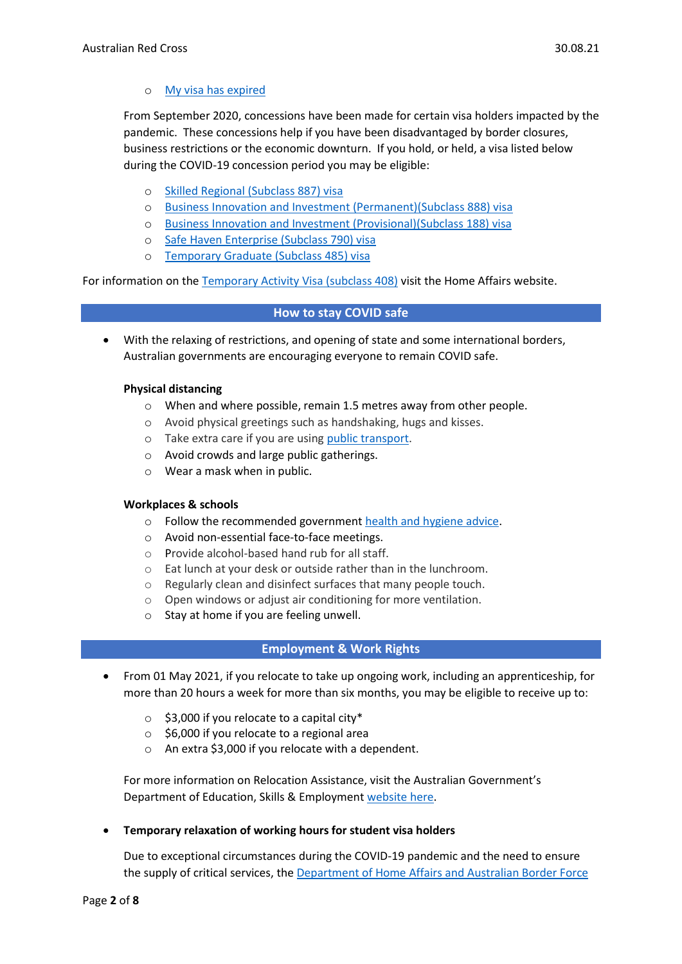### o [My visa has expired](https://covid19.homeaffairs.gov.au/my-visa-has-expired)

From September 2020, concessions have been made for certain visa holders impacted by the pandemic. These concessions help if you have been disadvantaged by border closures, business restrictions or the economic downturn. If you hold, or held, a visa listed below during the COVID-19 concession period you may be eligible:

- o [Skilled Regional \(Subclass 887\) visa](https://immi.homeaffairs.gov.au/visas/getting-a-visa/visa-listing/skilled-regional-887)
- o [Business Innovation and Investment \(Permanent\)\(Subclass 888\) visa](https://immi.homeaffairs.gov.au/visas/getting-a-visa/visa-listing/business-innovation-and-investment-888)
- o [Business Innovation and Investment \(Provisional\)\(Subclass 188\) visa](https://immi.homeaffairs.gov.au/visas/getting-a-visa/visa-listing/business-innovation-and-investment-188)
- o [Safe Haven Enterprise \(Subclass 790\) visa](https://immi.homeaffairs.gov.au/visas/getting-a-visa/visa-listing/safe-haven-enterprise-790/safe-haven-enterprise-visa-pathway)
- o [Temporary Graduate \(Subclass 485\) visa](https://immi.homeaffairs.gov.au/visas/getting-a-visa/visa-listing/temporary-graduate-485)

For information on the [Temporary Activity Visa \(subclass 408\)](https://immi.homeaffairs.gov.au/visas/getting-a-visa/visa-listing/temporary-activity-408/australian-government-endorsed-events#Overview) visit the Home Affairs website.

#### **How to stay COVID safe**

• With the relaxing of restrictions, and opening of state and some international borders, Australian governments are encouraging everyone to remain COVID safe.

#### **Physical distancing**

- o When and where possible, remain 1.5 metres away from other people.
- o Avoid physical greetings such as handshaking, hugs and kisses.
- o Take extra care if you are using [public transport.](https://www.infrastructure.gov.au/transport/files/covid19_public_transport_principles_29052020.pdf)
- o Avoid crowds and large public gatherings.
- o Wear a mask when in public.

#### **Workplaces & schools**

- o Follow the recommended government [health and hygiene advice.](https://www.health.gov.au/news/health-alerts/novel-coronavirus-2019-ncov-health-alert/how-to-protect-yourself-and-others-from-coronavirus-covid-19/good-hygiene-for-coronavirus-covid-19)
- o Avoid non-essential face-to-face meetings.
- o Provide alcohol-based hand rub for all staff.
- o Eat lunch at your desk or outside rather than in the lunchroom.
- o Regularly clean and disinfect surfaces that many people touch.
- o Open windows or adjust air conditioning for more ventilation.
- o Stay at home if you are feeling unwell.

#### **Employment & Work Rights**

- From 01 May 2021, if you relocate to take up ongoing work, including an apprenticeship, for more than 20 hours a week for more than six months, you may be eligible to receive up to:
	- $\circ$  \$3,000 if you relocate to a capital city\*
	- $\circ$  \$6,000 if you relocate to a regional area
	- o An extra \$3,000 if you relocate with a dependent.

For more information on Relocation Assistance, visit the Australian Government's Department of Education, Skills & Employmen[t website here.](https://www.dese.gov.au/rattuaj)

#### • **Temporary relaxation of working hours for student visa holders**

Due to exceptional circumstances during the COVID-19 pandemic and the need to ensure the supply of critical services, the [Department of Home Affairs and Australian Border Force](https://immi.homeaffairs.gov.au/visas/getting-a-visa/visa-listing/student-500/temporary-relaxation-of-working-hours-for-student-visa-holders)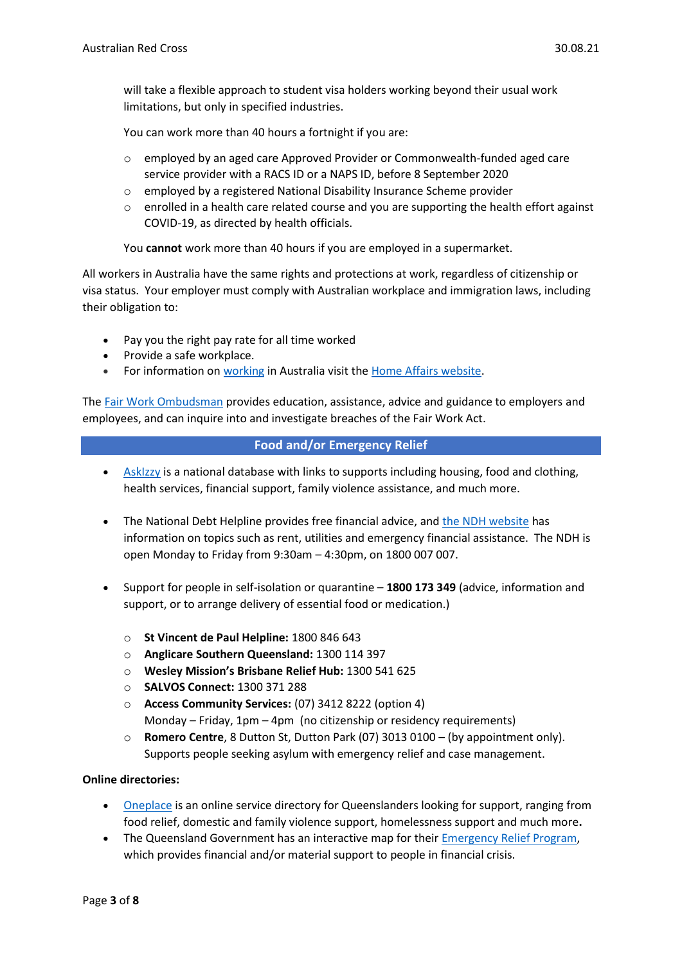will take a flexible approach to student visa holders working beyond their usual work limitations, but only in specified industries.

You can work more than 40 hours a fortnight if you are:

- o employed by an aged care Approved Provider or Commonwealth-funded aged care service provider with a RACS ID or a NAPS ID, before 8 September 2020
- o employed by a registered National Disability Insurance Scheme provider
- $\circ$  enrolled in a health care related course and you are supporting the health effort against COVID-19, as directed by health officials.

You **cannot** work more than 40 hours if you are employed in a supermarket.

All workers in Australia have the same rights and protections at work, regardless of citizenship or visa status. Your employer must comply with Australian workplace and immigration laws, including their obligation to:

- Pay you the right pay rate for all time worked
- Provide a safe workplace.
- For information on [working](https://immi.homeaffairs.gov.au/visas/getting-a-visa/visa-listing/student-500/temporary-relaxation-of-working-hours-for-student-visa-holders) in Australia visit the [Home Affairs website.](https://immi.homeaffairs.gov.au/visas/working-in-australia)

The Fair Work [Ombudsman](https://www.fairwork.gov.au/) provides education, assistance, advice and guidance to employers and employees, and can inquire into and investigate breaches of the Fair Work Act.

#### **Food and/or Emergency Relief**

- [AskIzzy](https://askizzy.org.au/) is a national database with links to supports including housing, food and clothing, health services, financial support, family violence assistance, and much more.
- The National Debt Helpline provides free financial advice, and [the NDH website](https://ndh.org.au/) has information on topics such as rent, utilities and emergency financial assistance. The NDH is open Monday to Friday from 9:30am – 4:30pm, on 1800 007 007.
- Support for people in self-isolation or quarantine **1800 173 349** (advice, information and support, or to arrange delivery of essential food or medication.)
	- o **St Vincent de Paul Helpline:** 1800 846 643
	- o **Anglicare Southern Queensland:** 1300 114 397
	- o **Wesley Mission's Brisbane Relief Hub:** 1300 541 625
	- o **SALVOS Connect:** 1300 371 288
	- o **Access Community Services:** (07) 3412 8222 (option 4) Monday – Friday, 1pm – 4pm (no citizenship or residency requirements)
	- o **Romero Centre**, 8 Dutton St, Dutton Park (07) 3013 0100 (by appointment only). Supports people seeking asylum with emergency relief and case management.

#### **Online directories:**

- [Oneplace](https://www.oneplace.org.au/) is an online service directory for Queenslanders looking for support, ranging from food relief, domestic and family violence support, homelessness support and much more**.**
- The Queensland Government has an interactive map for their **Emergency Relief Program**, which provides financial and/or material support to people in financial crisis.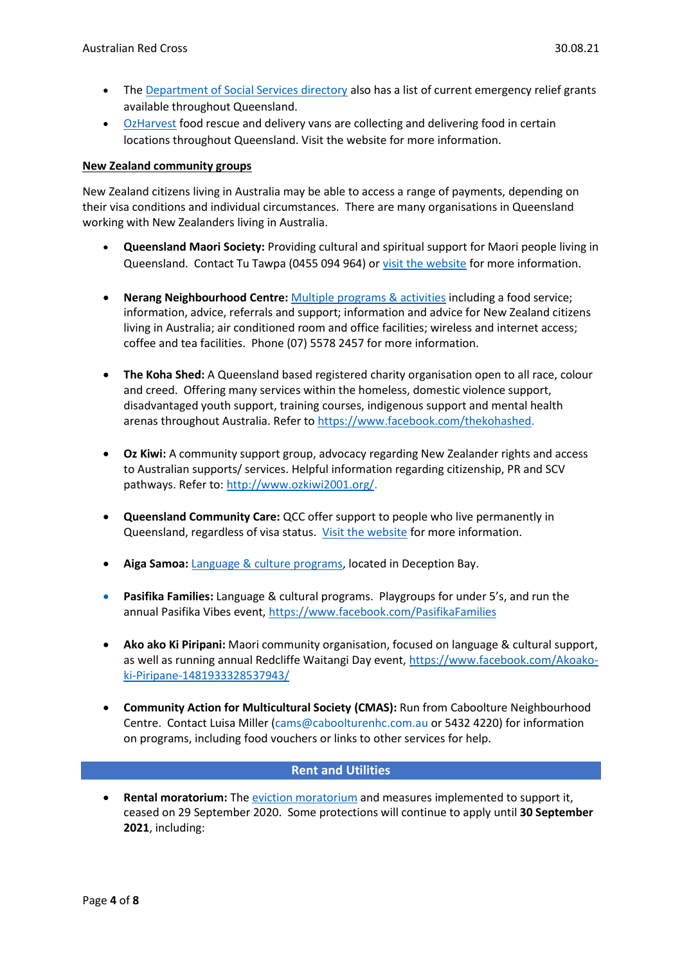- The [Department of Social Services directory](https://serviceproviders.dss.gov.au/?postcode&ppp=100&programme=Families%20and%20Communities®ion&service=Financial%20Crisis%20and%20Material%20Aid%20-%20Emergency%20Relief&state=Queensland) also has a list of current emergency relief grants available throughout Queensland.
- [OzHarvest](https://www.ozharvest.org/food-rescue-covid-19-updates/) food rescue and delivery vans are collecting and delivering food in certain locations throughout Queensland. Visit the website for more information.

#### **New Zealand community groups**

New Zealand citizens living in Australia may be able to access a range of payments, depending on their visa conditions and individual circumstances. There are many organisations in Queensland working with New Zealanders living in Australia.

- **Queensland Maori Society:** Providing cultural and spiritual support for Maori people living in Queensland. Contact Tu Tawpa (0455 094 964) or [visit the website](https://www.queenslandmaorisociety.org/) for more information.
- **Nerang Neighbourhood Centre:** [Multiple programs & activities](http://www.nncinc.com.au/services/) including a food service; information, advice, referrals and support; information and advice for New Zealand citizens living in Australia; air conditioned room and office facilities; wireless and internet access; coffee and tea facilities. Phone (07) 5578 2457 for more information.
- **The Koha Shed:** A Queensland based registered charity organisation open to all race, colour and creed. Offering many services within the homeless, domestic violence support, disadvantaged youth support, training courses, indigenous support and mental health arenas throughout Australia. Refer to [https://www.facebook.com/thekohashed.](https://www.facebook.com/thekohashed)
- **Oz Kiwi:** A community support group, advocacy regarding New Zealander rights and access to Australian supports/ services. Helpful information regarding citizenship, PR and SCV pathways. Refer to[: http://www.ozkiwi2001.org/.](http://www.ozkiwi2001.org/)
- **Queensland Community Care:** QCC offer support to people who live permanently in Queensland, regardless of visa status. [Visit the website](https://www.qld.gov.au/community/getting-support-health-social-issue/community-home-care-services/community-care-program/access-community-care-services) for more information.
- **Aiga Samoa:** Language & [culture programs,](https://www.facebook.com/AigaSamoaAssociationNorthBrisbaneInc/) located in Deception Bay.
- **Pasifika Families:** Language & cultural programs. Playgroups for under 5's, and run the annual Pasifika Vibes event[, https://www.facebook.com/PasifikaFamilies](https://www.facebook.com/PasifikaFamilies)
- **Ako ako Ki Piripani:** Maori community organisation, focused on language & cultural support, as well as running annual Redcliffe Waitangi Day event, [https://www.facebook.com/Akoako](https://www.facebook.com/Akoako-ki-Piripane-1481933328537943/)[ki-Piripane-1481933328537943/](https://www.facebook.com/Akoako-ki-Piripane-1481933328537943/)
- **Community Action for Multicultural Society (CMAS):** Run from Caboolture Neighbourhood Centre. Contact Luisa Miller (cams@caboolturenhc.com.au or 5432 4220) for information on programs, including food vouchers or links to other services for help.

# **Rent and Utilities**

• **Rental moratorium:** The [eviction moratorium](https://www.covid19.qld.gov.au/the-hub/covid-19-tenancy-update) and measures implemented to support it, ceased on 29 September 2020. Some protections will continue to apply until **30 September 2021**, including: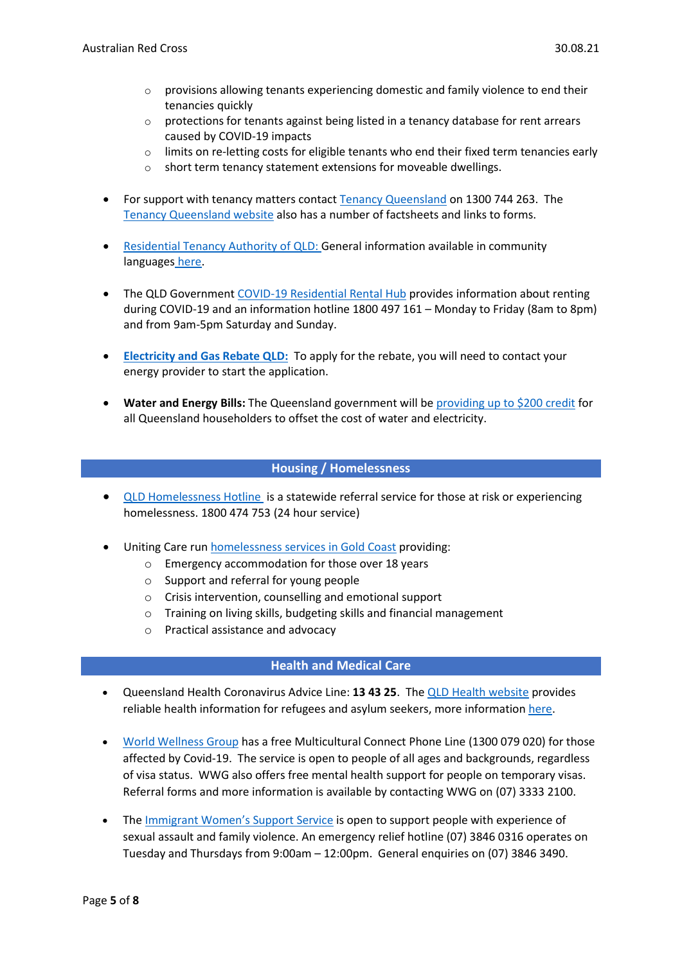- $\circ$  provisions allowing tenants experiencing domestic and family violence to end their tenancies quickly
- $\circ$  protections for tenants against being listed in a tenancy database for rent arrears caused by COVID-19 impacts
- $\circ$  limits on re-letting costs for eligible tenants who end their fixed term tenancies early
- o short term tenancy statement extensions for moveable dwellings.
- For support with tenancy matters contac[t Tenancy Queensland](https://tenantsqld.org.au/) on 1300 744 263. The [Tenancy Queensland website](https://tenantsqld.org.au/coronavirus-covid-19-information-2/) also has a number of factsheets and links to forms.
- [Residential Tenancy Authority of QLD:](https://www.rta.qld.gov.au/Forms-and-publications/Educational-resources/RTA-responds.html) General information available in community languages [here.](https://www.rta.qld.gov.au/Forms-and-publications/Publications/Tenants-other-languages.html)
- The QLD Governmen[t COVID-19 Residential Rental Hub](https://www.covid19.qld.gov.au/the-hub) provides information about renting during COVID-19 and an information hotline 1800 497 161 – Monday to Friday (8am to 8pm) and from 9am-5pm Saturday and Sunday.
- **[Electricity and Gas Rebate QLD:](https://www.qld.gov.au/community/cost-of-living-support/concessions/energy-concessions/electricity-gas-rebates)** To apply for the rebate, you will need to contact your energy provider to start the application.
- **Water and Energy Bills:** The Queensland government will b[e providing up to \\$200 credit](https://linkprotect.cudasvc.com/url?a=https%3a%2f%2fs3.treasury.qld.gov.au%2ffiles%2fCovid-19_Q__A-Electricity.pdf&c=E,1,jTlSZx36CcF4eAoG3-iFveTMi0cDniSKqSF2-5ppC-zOPlIpN9iusHEieECBI7oyGTmHUbmKVpS9jfSKSqx8q_H6K824dFMXdasWU11rkv8IKhCwZw,,&typo=1) for all Queensland householders to offset the cost of water and electricity.

# **Housing / Homelessness**

- [QLD Homelessness Hotline](https://www.qld.gov.au/housing/emergency-temporary-accommodation/homeless-persons-information-qld) is a statewide referral service for those at risk or experiencing homelessness. 1800 474 753 (24 hour service)
- Uniting Care run [homelessness services in Gold Coast](https://www.unitingcareqld.com.au/services-and-support/homelessness) providing:
	- o Emergency accommodation for those over 18 years
	- o Support and referral for young people
	- o Crisis intervention, counselling and emotional support
	- o Training on living skills, budgeting skills and financial management
	- o Practical assistance and advocacy

# **Health and Medical Care**

- Queensland Health Coronavirus Advice Line: **13 43 25**. The QLD [Health website](https://www.qld.gov.au/health/conditions/health-alerts/coronavirus-covid-19) provides reliable health information for refugees and asylum seekers, more information [here.](https://www.health.qld.gov.au/__data/assets/pdf_file/0033/676518/refugees-asylumseekers-infosheet.pdf)
- [World Wellness Group](https://worldwellnessgroup.org.au/) has a free Multicultural Connect Phone Line (1300 079 020) for those affected by Covid-19. The service is open to people of all ages and backgrounds, regardless of visa status. WWG also offers free mental health support for people on temporary visas. Referral forms and more information is available by contacting WWG on (07) 3333 2100.
- The [Immigrant Women's Support Service](http://www.iwss.org.au/) is open to support people with experience of sexual assault and family violence. An emergency relief hotline (07) 3846 0316 operates on Tuesday and Thursdays from 9:00am – 12:00pm. General enquiries on (07) 3846 3490.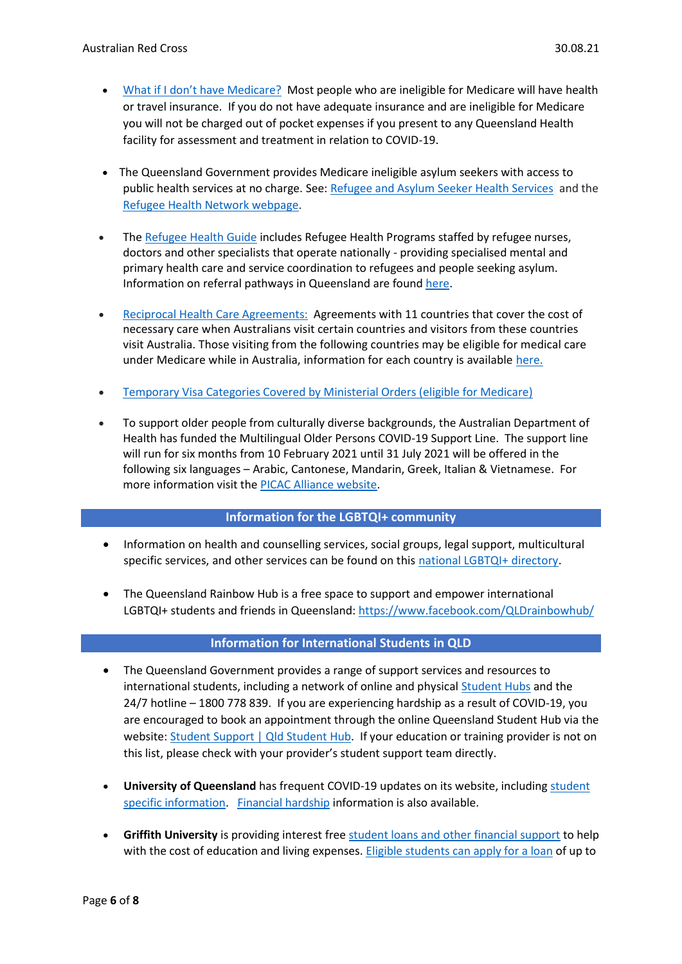- [What if I don't have Medicare?](https://www.qld.gov.au/health/conditions/health-alerts/coronavirus-covid-19/find-the-facts/faqs-and-myth-busters) Most people who are ineligible for Medicare will have health or travel insurance. If you do not have adequate insurance and are ineligible for Medicare you will not be charged out of pocket expenses if you present to any Queensland Health facility for assessment and treatment in relation to COVID-19.
- The Queensland Government provides Medicare ineligible asylum seekers with access to public health services at no charge. See: [Refugee and Asylum Seeker Health Services](https://www.health.qld.gov.au/public-health/groups/multicultural/refugee-services) and the [Refugee Health Network webpage.](http://www.refugeehealthnetworkqld.org.au/asylum-seekers/)
- Th[e Refugee Health Guide](https://refugeehealthguide.org.au/referrals/) includes Refugee Health Programs staffed by refugee nurses, doctors and other specialists that operate nationally - providing specialised mental and primary health care and service coordination to refugees and people seeking asylum. Information on referral pathways in Queensland are found [here.](https://refugeehealthguide.org.au/referrals/queensland/)
- [Reciprocal Health Care Agreements:](https://www.servicesaustralia.gov.au/individuals/services/medicare/reciprocal-health-care-agreements) Agreements with 11 countries that cover the cost of necessary care when Australians visit certain countries and visitors from these countries visit Australia. Those visiting from the following countries may be eligible for medical care under Medicare while in Australia, information for each country is available [here.](https://www.servicesaustralia.gov.au/individuals/services/medicare/reciprocal-health-care-agreements/when-you-visit-australia)
- [Temporary Visa Categories Covered by Ministerial Orders \(eligible for Medicare\)](https://www.servicesaustralia.gov.au/individuals/subjects/how-enrol-and-get-started-medicare/enrolling-medicare/how-enrol-medicare-if-youre-temporary-resident-covered-ministerial-order)
- To support older people from culturally diverse backgrounds, the Australian Department of Health has funded the Multilingual Older Persons COVID-19 Support Line. The support line will run for six months from 10 February 2021 until 31 July 2021 will be offered in the following six languages – Arabic, Cantonese, Mandarin, Greek, Italian & Vietnamese. For more information visit the [PICAC Alliance website.](http://www.picacalliance.org/multilingual-older-persons-covid-19-support-line/)

#### **Information for the LGBTQI+ community**

- Information on health and counselling services, social groups, legal support, multicultural specific services, and other services can be found on this [national LGBTQI+ directory.](https://docs.google.com/spreadsheets/d/1CTv8NSkImdhclvS_ZJ61t1k33KPE5f4PF0wWApP6aFk/edit#gid=1868596043)
- The Queensland Rainbow Hub is a free space to support and empower international LGBTQI+ students and friends in Queensland:<https://www.facebook.com/QLDrainbowhub/>

#### **Information for International Students in QLD**

- The Queensland Government provides a range of support services and resources to international students, including a network of online and physica[l Student Hubs](https://www.qldstudenthub.qld.gov.au/student-support) and the 24/7 hotline – 1800 778 839. If you are experiencing hardship as a result of COVID-19, you are encouraged to book an appointment through the online Queensland Student Hub via the website[: Student Support | Qld Student Hub.](https://aus01.safelinks.protection.outlook.com/?url=https%3A%2F%2Fwww.qldstudenthub.qld.gov.au%2Fstudent-support&data=04%7C01%7Csobrien%40redcross.org.au%7Ca09b35060cd044a76e3b08d8a1957c85%7C1ac0eafd88864ec7afd229c150fc3208%7C0%7C0%7C637437010779240092%7CUnknown%7CTWFpbGZsb3d8eyJWIjoiMC4wLjAwMDAiLCJQIjoiV2luMzIiLCJBTiI6Ik1haWwiLCJXVCI6Mn0%3D%7C1000&sdata=KHZDOls9e4pIFs13iUwwtVKbjiBtuNjgnutlncwsRKQ%3D&reserved=0) If your education or training provider is not on this list, please check with your provider's student support team directly.
- **University of Queensland** has frequent COVID-19 updates on its website, includin[g student](https://about.uq.edu.au/coronavirus/students)  [specific information.](https://about.uq.edu.au/coronavirus/students) [Financial hardship](https://my.uq.edu.au/information-and-services/student-support/financial-support/apply-financial-hardship-assistance) information is also available.
- **Griffith University** is providing interest fre[e student loans and other financial support](https://www.griffith.edu.au/scholarships/student-financial-support) to help with the cost of education and living expenses. [Eligible students can apply for a loan](https://www.griffith.edu.au/__data/assets/pdf_file/0021/165612/Student-Loans-Kit-2017-Final.pdf) of up to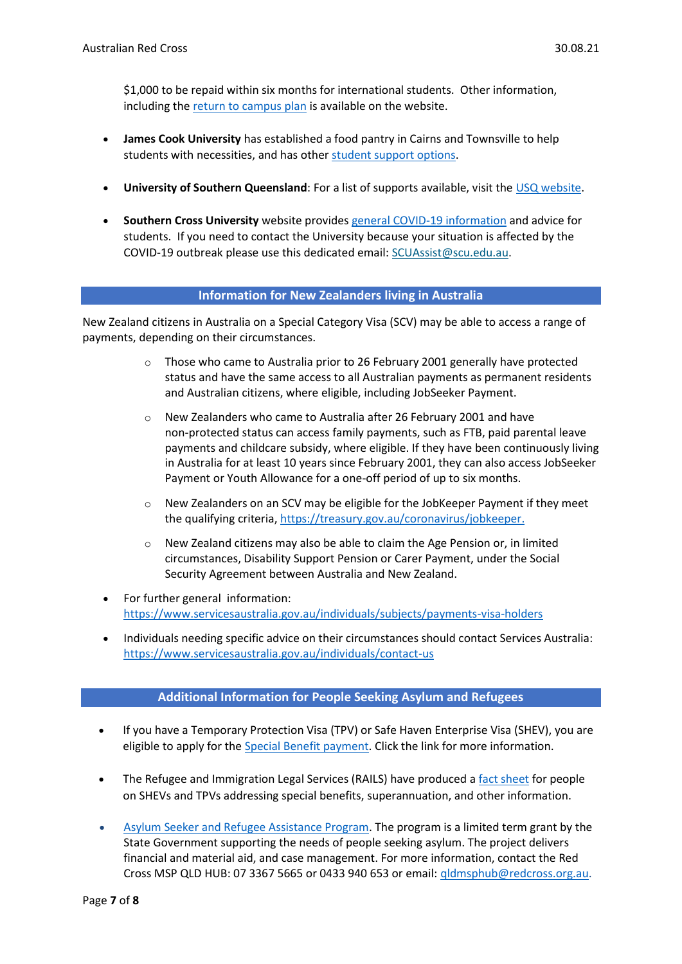\$1,000 to be repaid within six months for international students. Other information, including the [return to campus plan](https://www.griffith.edu.au/coronavirus) is available on the website.

- **James Cook University** has established a food pantry in Cairns and Townsville to help students with necessities, and has othe[r student support options.](https://www.jcu.edu.au/covid-19-advice/information-for-students)
- **University of Southern Queensland**: For a list of supports available, visit the [USQ website.](https://www.usq.edu.au/current-students/support/covid-19-online-learning/covid-19-student-support-package)
- **Southern Cross University** website provides [general COVID-19 information](https://www.scu.edu.au/coronavirus/information-for-students/) and advice for students. If you need to contact the University because your situation is affected by the COVID-19 outbreak please use this dedicated email: [SCUAssist@scu.edu.au.](mailto:SCUAssist@scu.edu.au)

#### **Information for New Zealanders living in Australia**

New Zealand citizens in Australia on a Special Category Visa (SCV) may be able to access a range of payments, depending on their circumstances.

- $\circ$  Those who came to Australia prior to 26 February 2001 generally have protected status and have the same access to all Australian payments as permanent residents and Australian citizens, where eligible, including JobSeeker Payment.
- o New Zealanders who came to Australia after 26 February 2001 and have non-protected status can access family payments, such as FTB, paid parental leave payments and childcare subsidy, where eligible. If they have been continuously living in Australia for at least 10 years since February 2001, they can also access JobSeeker Payment or Youth Allowance for a one-off period of up to six months.
- New Zealanders on an SCV may be eligible for the JobKeeper Payment if they meet the qualifying criteria[, https://treasury.gov.au/coronavirus/jobkeeper.](https://treasury.gov.au/coronavirus/jobkeeper)
- $\circ$  New Zealand citizens may also be able to claim the Age Pension or, in limited circumstances, Disability Support Pension or Carer Payment, under the Social Security Agreement between Australia and New Zealand.
- For further general information: <https://www.servicesaustralia.gov.au/individuals/subjects/payments-visa-holders>
- Individuals needing specific advice on their circumstances should contact Services Australia: <https://www.servicesaustralia.gov.au/individuals/contact-us>

# **Additional Information for People Seeking Asylum and Refugees**

- If you have a Temporary Protection Visa (TPV) or Safe Haven Enterprise Visa (SHEV), you are eligible to apply for th[e Special Benefit payment.](https://www.servicesaustralia.gov.au/individuals/services/centrelink/special-benefit) Click the link for more information.
- The Refugee and Immigration Legal Services (RAILS) have produced a [fact sheet](https://www.rails.org.au/sites/default/files/2019-07/SHEV%20and%20TPV%20-%20Centrelink%20benefits_0.pdf) for people on SHEVs and TPVs addressing special benefits, superannuation, and other information.
- Asylum [Seeker and Refugee Assistance Program.](https://www.dlgrma.qld.gov.au/multicultural-affairs/programs-and-initiatives/asylum-seeker-refugee-assistance-program.html) The program is a limited term grant by the State Government supporting the needs of people seeking asylum. The project delivers financial and material aid, and case management. For more information, contact the Red Cross MSP QLD HUB: 07 3367 5665 or 0433 940 653 or email: [qldmsphub@redcross.org.au.](mailto:qldmsphub@redcross.org.au)